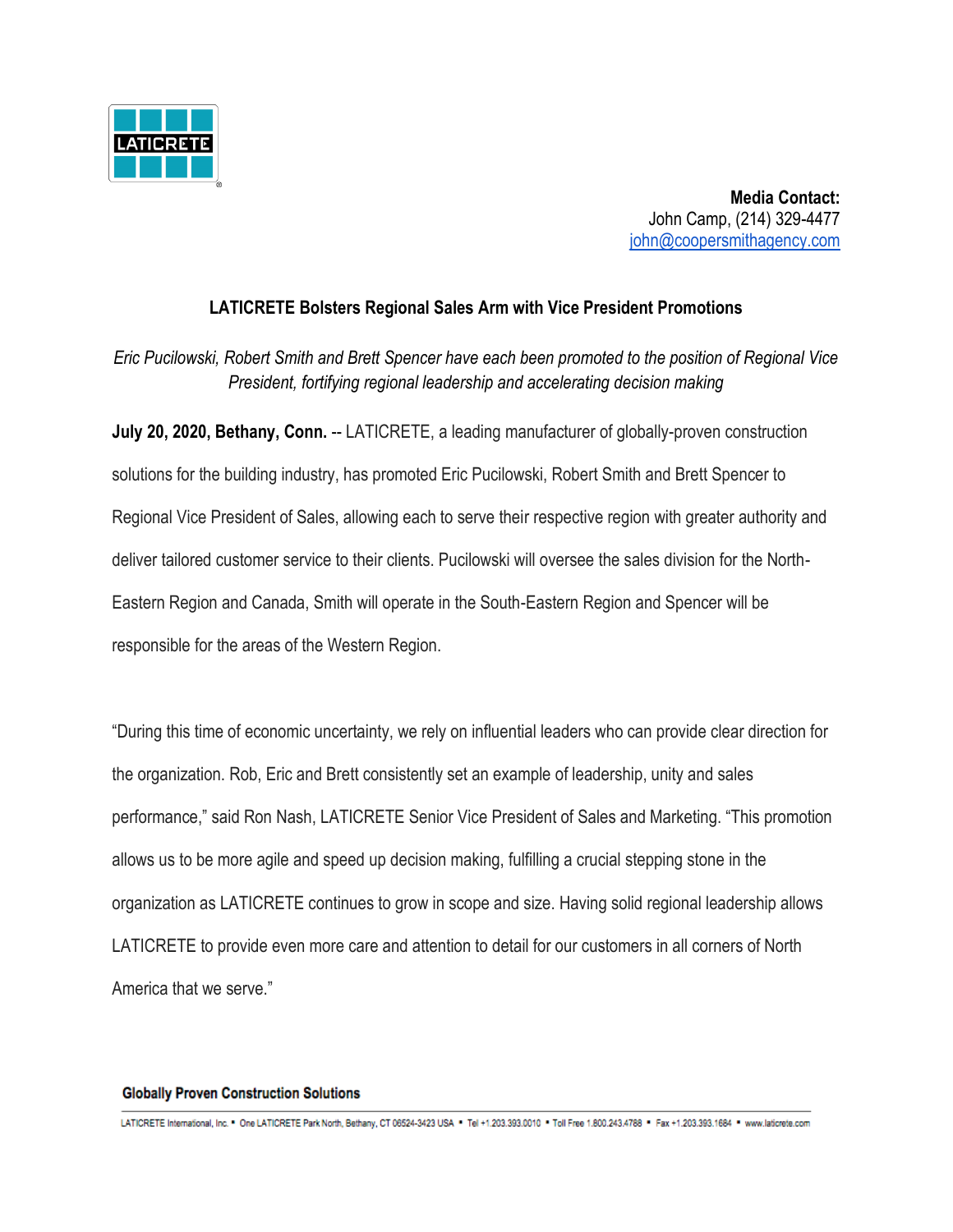

**Media Contact:** John Camp, (214) 329-4477 [john@coopersmithagency.com](mailto:john@coopersmithagency.com)

## **LATICRETE Bolsters Regional Sales Arm with Vice President Promotions**

*Eric Pucilowski, Robert Smith and Brett Spencer have each been promoted to the position of Regional Vice President, fortifying regional leadership and accelerating decision making*

**July 20, 2020, Bethany, Conn.** -- LATICRETE, a leading manufacturer of globally-proven construction solutions for the building industry, has promoted Eric Pucilowski, Robert Smith and Brett Spencer to Regional Vice President of Sales, allowing each to serve their respective region with greater authority and deliver tailored customer service to their clients. Pucilowski will oversee the sales division for the North-Eastern Region and Canada, Smith will operate in the South-Eastern Region and Spencer will be responsible for the areas of the Western Region.

"During this time of economic uncertainty, we rely on influential leaders who can provide clear direction for the organization. Rob, Eric and Brett consistently set an example of leadership, unity and sales performance," said Ron Nash, LATICRETE Senior Vice President of Sales and Marketing. "This promotion allows us to be more agile and speed up decision making, fulfilling a crucial stepping stone in the organization as LATICRETE continues to grow in scope and size. Having solid regional leadership allows LATICRETE to provide even more care and attention to detail for our customers in all corners of North America that we serve."

## **Globally Proven Construction Solutions**

LATICRETE International, Inc. \* One LATICRETE Park North, Bethany, CT 06524-3423 USA \* Tel +1.203.393.0010 \* Toll Free 1.800.243.4788 \* Fax +1.203.393.1684 \* www.laticrete.com